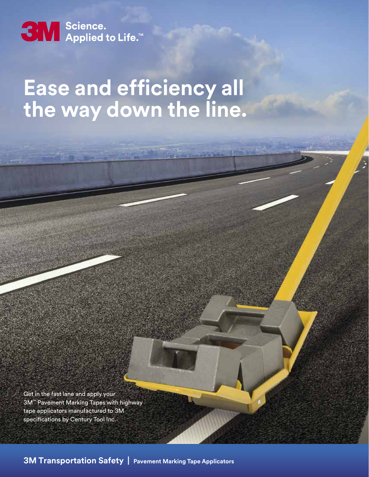

## **Ease and efficiency all the way down the line.**

Get in the fast lane and apply your 3M™ Pavement Marking Tapes with highway tape applicators manufactured to 3M specifications by Century Tool Inc.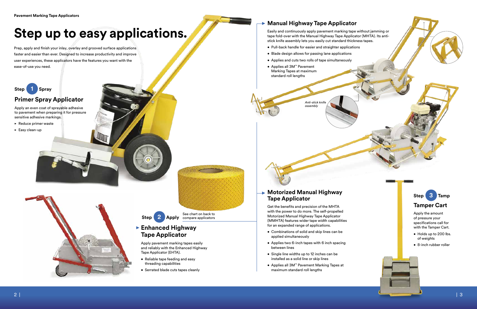# **Step up to easy applications.**

Prep, apply and finish your inlay, overlay and grooved surface applications faster and easier than ever. Designed to increase productivity and improve user experiences, these applicators have the features you want with the ease-of-use you need.

## **Primer Spray Applicator**

Apply an even coat of sprayable adhesive to pavement when preparing it for pressure sensitive adhesive markings.

- Reduce primer waste
- Easy clean-up





- 
- 

Easily and continuously apply pavement marking tape without jamming or tape fold-over with the Manual Highway Tape Applicator (MHTA). Its antistick knife assembly lets you easily cut standard thickness tapes.

- Pull-back handle for easier and straighter applications
- Blade design allows for passing lane applications
- Applies and cuts two rolls of tape simultaneously
- Applies all 3M™ Pavement Marking Tapes at maximum standard roll lengths

## **Enhanced Highway**  • **Tape Applicator**

**Step** 2 Apply compare applicators See chart on back to

Apply pavement marking tapes easily and reliably with the Enhanced Highway Tape Applicator (EHTA).

- Reliable tape feeding and easy threading capabilities
- Serrated blade cuts tapes cleanly

### **Motorized Manual Highway**  • **Tape Applicator**

### **Manual Highway Tape Applicator** •

Get the benefits and precision of the MHTA with the power to do more. The self-propelled Motorized Manual Highway Tape Applicator (MMHTA) features wider tape width capabilities for an expanded range of applications.

- Combinations of solid and skip lines can be applied simultaneously
- Applies two 6-inch tapes with 6 inch spacing between lines
- Single line widths up to 12 inches can be installed as a solid line or skip lines
- Applies all 3M™ Pavement Marking Tapes at maximum standard roll lengths

Apply the amount of pressure your specifications call for with the Tamper Cart.



- Holds up to 200 lbs. of weights
- 8-inch rubber roller

*Anti-stick knife assembly*